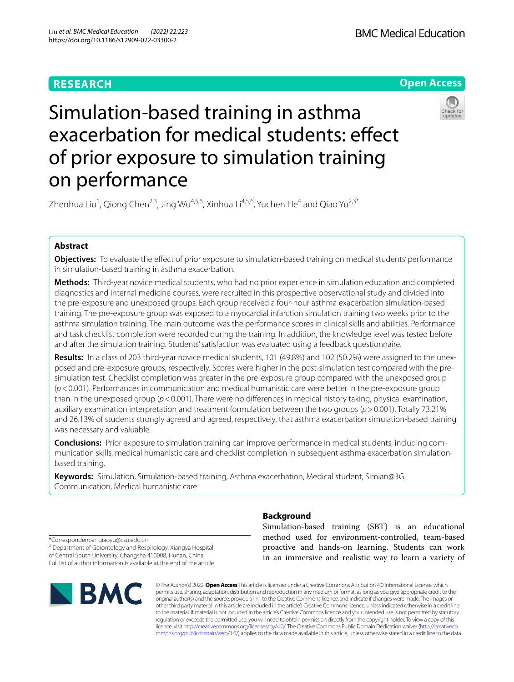## **RESEARCH**



# Simulation-based training in asthma exacerbation for medical students: effect of prior exposure to simulation training on performance



Zhenhua Liu<sup>1</sup>, Qiong Chen<sup>2,3</sup>, Jing Wu<sup>4,5,6</sup>, Xinhua Li<sup>4,5,6</sup>, Yuchen He<sup>4</sup> and Qiao Yu<sup>2,3\*</sup>

### **Abstract**

**Objectives:** To evaluate the efect of prior exposure to simulation-based training on medical students' performance in simulation-based training in asthma exacerbation.

**Methods:** Third-year novice medical students, who had no prior experience in simulation education and completed diagnostics and internal medicine courses, were recruited in this prospective observational study and divided into the pre-exposure and unexposed groups. Each group received a four-hour asthma exacerbation simulation-based training. The pre-exposure group was exposed to a myocardial infarction simulation training two weeks prior to the asthma simulation training. The main outcome was the performance scores in clinical skills and abilities. Performance and task checklist completion were recorded during the training. In addition, the knowledge level was tested before and after the simulation training. Students' satisfaction was evaluated using a feedback questionnaire.

**Results:** In a class of 203 third-year novice medical students, 101 (49.8%) and 102 (50.2%) were assigned to the unexposed and pre-exposure groups, respectively. Scores were higher in the post-simulation test compared with the presimulation test. Checklist completion was greater in the pre-exposure group compared with the unexposed group (*p*<0.001). Performances in communication and medical humanistic care were better in the pre-exposure group than in the unexposed group (*p*<0.001). There were no diferences in medical history taking, physical examination, auxiliary examination interpretation and treatment formulation between the two groups (*p*>0.001). Totally 73.21% and 26.13% of students strongly agreed and agreed, respectively, that asthma exacerbation simulation-based training was necessary and valuable.

**Conclusions:** Prior exposure to simulation training can improve performance in medical students, including communication skills, medical humanistic care and checklist completion in subsequent asthma exacerbation simulationbased training.

**Keywords:** Simulation, Simulation-based training, Asthma exacerbation, Medical student, Simian@3G, Communication, Medical humanistic care

\*Correspondence: qiaoyu@csu.edu.cn <sup>2</sup> Department of Gerontology and Respirology, Xiangya Hospital of Central South University, Changsha 410008, Hunan, China Full list of author information is available at the end of the article



### **Background**

Simulation-based training (SBT) is an educational method used for environment-controlled, team-based proactive and hands-on learning. Students can work in an immersive and realistic way to learn a variety of

© The Author(s) 2022. **Open Access** This article is licensed under a Creative Commons Attribution 4.0 International License, which permits use, sharing, adaptation, distribution and reproduction in any medium or format, as long as you give appropriate credit to the original author(s) and the source, provide a link to the Creative Commons licence, and indicate if changes were made. The images or other third party material in this article are included in the article's Creative Commons licence, unless indicated otherwise in a credit line to the material. If material is not included in the article's Creative Commons licence and your intended use is not permitted by statutory regulation or exceeds the permitted use, you will need to obtain permission directly from the copyright holder. To view a copy of this licence, visit [http://creativecommons.org/licenses/by/4.0/.](http://creativecommons.org/licenses/by/4.0/) The Creative Commons Public Domain Dedication waiver ([http://creativeco](http://creativecommons.org/publicdomain/zero/1.0/) [mmons.org/publicdomain/zero/1.0/](http://creativecommons.org/publicdomain/zero/1.0/)) applies to the data made available in this article, unless otherwise stated in a credit line to the data.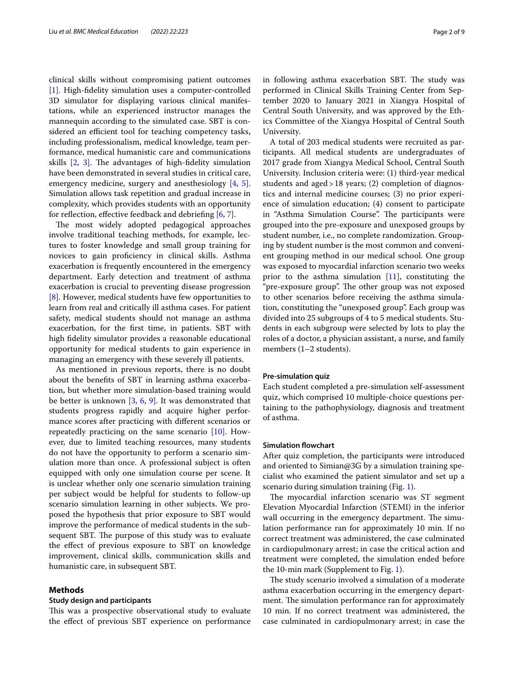clinical skills without compromising patient outcomes [[1\]](#page-7-0). High-fidelity simulation uses a computer-controlled 3D simulator for displaying various clinical manifestations, while an experienced instructor manages the mannequin according to the simulated case. SBT is considered an efficient tool for teaching competency tasks, including professionalism, medical knowledge, team performance, medical humanistic care and communications skills  $[2, 3]$  $[2, 3]$  $[2, 3]$  $[2, 3]$  $[2, 3]$ . The advantages of high-fidelity simulation have been demonstrated in several studies in critical care, emergency medicine, surgery and anesthesiology [\[4](#page-7-3), [5](#page-7-4)]. Simulation allows task repetition and gradual increase in complexity, which provides students with an opportunity for reflection, effective feedback and debriefing  $[6, 7]$  $[6, 7]$  $[6, 7]$  $[6, 7]$ .

The most widely adopted pedagogical approaches involve traditional teaching methods, for example, lectures to foster knowledge and small group training for novices to gain profciency in clinical skills. Asthma exacerbation is frequently encountered in the emergency department. Early detection and treatment of asthma exacerbation is crucial to preventing disease progression [[8\]](#page-7-7). However, medical students have few opportunities to learn from real and critically ill asthma cases. For patient safety, medical students should not manage an asthma exacerbation, for the frst time, in patients. SBT with high fdelity simulator provides a reasonable educational opportunity for medical students to gain experience in managing an emergency with these severely ill patients.

As mentioned in previous reports, there is no doubt about the benefts of SBT in learning asthma exacerbation, but whether more simulation-based training would be better is unknown [\[3,](#page-7-2) [6](#page-7-5), [9\]](#page-7-8). It was demonstrated that students progress rapidly and acquire higher performance scores after practicing with diferent scenarios or repeatedly practicing on the same scenario [[10\]](#page-7-9). However, due to limited teaching resources, many students do not have the opportunity to perform a scenario simulation more than once. A professional subject is often equipped with only one simulation course per scene. It is unclear whether only one scenario simulation training per subject would be helpful for students to follow-up scenario simulation learning in other subjects. We proposed the hypothesis that prior exposure to SBT would improve the performance of medical students in the subsequent SBT. The purpose of this study was to evaluate the efect of previous exposure to SBT on knowledge improvement, clinical skills, communication skills and humanistic care, in subsequent SBT.

#### **Methods**

#### **Study design and participants**

This was a prospective observational study to evaluate the efect of previous SBT experience on performance in following asthma exacerbation SBT. The study was performed in Clinical Skills Training Center from September 2020 to January 2021 in Xiangya Hospital of Central South University, and was approved by the Ethics Committee of the Xiangya Hospital of Central South University.

A total of 203 medical students were recruited as participants. All medical students are undergraduates of 2017 grade from Xiangya Medical School, Central South University. Inclusion criteria were: (1) third-year medical students and aged>18 years; (2) completion of diagnostics and internal medicine courses; (3) no prior experience of simulation education; (4) consent to participate in "Asthma Simulation Course". The participants were grouped into the pre-exposure and unexposed groups by student number, i.e., no complete randomization. Grouping by student number is the most common and convenient grouping method in our medical school. One group was exposed to myocardial infarction scenario two weeks prior to the asthma simulation  $[11]$  $[11]$ , constituting the "pre-exposure group". The other group was not exposed to other scenarios before receiving the asthma simulation, constituting the "unexposed group". Each group was divided into 25 subgroups of 4 to 5 medical students. Students in each subgroup were selected by lots to play the roles of a doctor, a physician assistant, a nurse, and family members (1–2 students).

#### **Pre‑simulation quiz**

Each student completed a pre-simulation self-assessment quiz, which comprised 10 multiple-choice questions pertaining to the pathophysiology, diagnosis and treatment of asthma.

#### **Simulation fowchart**

After quiz completion, the participants were introduced and oriented to Simian@3G by a simulation training specialist who examined the patient simulator and set up a scenario during simulation training (Fig. [1](#page-2-0)).

The myocardial infarction scenario was ST segment Elevation Myocardial Infarction (STEMI) in the inferior wall occurring in the emergency department. The simulation performance ran for approximately 10 min. If no correct treatment was administered, the case culminated in cardiopulmonary arrest; in case the critical action and treatment were completed, the simulation ended before the 10-min mark (Supplement to Fig. [1](#page-7-11)).

The study scenario involved a simulation of a moderate asthma exacerbation occurring in the emergency department. The simulation performance ran for approximately 10 min. If no correct treatment was administered, the case culminated in cardiopulmonary arrest; in case the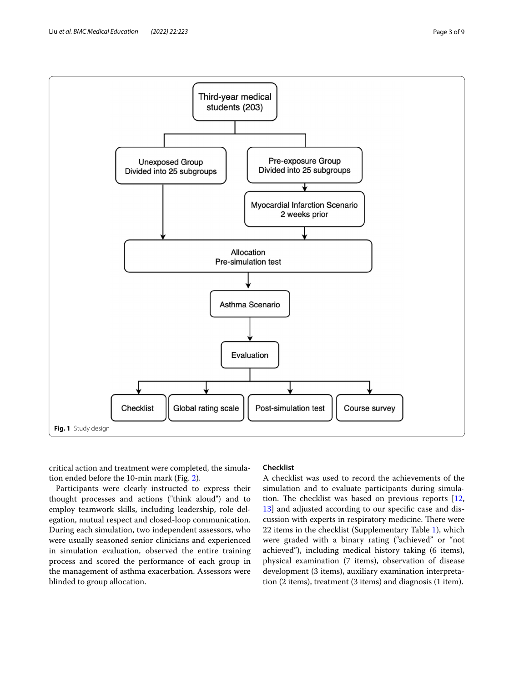

<span id="page-2-0"></span>critical action and treatment were completed, the simulation ended before the 10-min mark (Fig. [2](#page-3-0)).

Participants were clearly instructed to express their thought processes and actions ("think aloud") and to employ teamwork skills, including leadership, role delegation, mutual respect and closed-loop communication. During each simulation, two independent assessors, who were usually seasoned senior clinicians and experienced in simulation evaluation, observed the entire training process and scored the performance of each group in the management of asthma exacerbation. Assessors were blinded to group allocation.

#### **Checklist**

A checklist was used to record the achievements of the simulation and to evaluate participants during simulation. The checklist was based on previous reports  $[12,$  $[12,$  $[12,$ [13\]](#page-7-13) and adjusted according to our specifc case and discussion with experts in respiratory medicine. There were 22 items in the checklist (Supplementary Table [1\)](#page-7-14), which were graded with a binary rating ("achieved" or "not achieved"), including medical history taking (6 items), physical examination (7 items), observation of disease development (3 items), auxiliary examination interpretation (2 items), treatment (3 items) and diagnosis (1 item).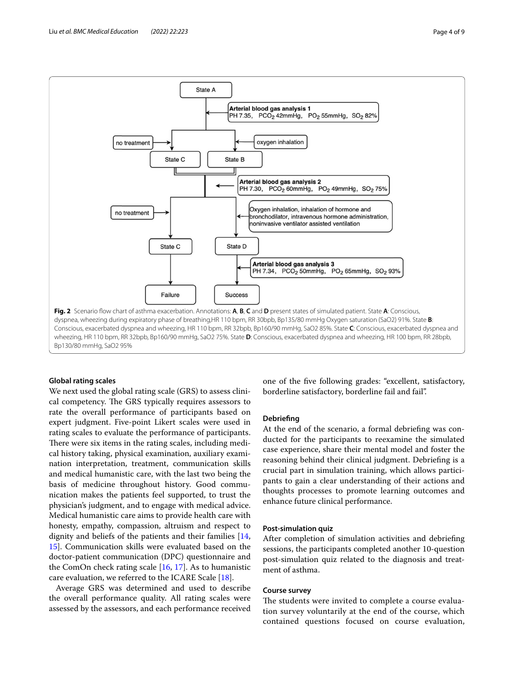

#### <span id="page-3-0"></span>**Global rating scales**

We next used the global rating scale (GRS) to assess clinical competency. The GRS typically requires assessors to rate the overall performance of participants based on expert judgment. Five-point Likert scales were used in rating scales to evaluate the performance of participants. There were six items in the rating scales, including medical history taking, physical examination, auxiliary examination interpretation, treatment, communication skills and medical humanistic care, with the last two being the basis of medicine throughout history. Good communication makes the patients feel supported, to trust the physician's judgment, and to engage with medical advice. Medical humanistic care aims to provide health care with honesty, empathy, compassion, altruism and respect to dignity and beliefs of the patients and their families [\[14](#page-7-15), [15\]](#page-7-16). Communication skills were evaluated based on the doctor-patient communication (DPC) questionnaire and the ComOn check rating scale [[16](#page-7-17), [17](#page-7-18)]. As to humanistic care evaluation, we referred to the ICARE Scale [[18\]](#page-8-0).

Average GRS was determined and used to describe the overall performance quality. All rating scales were assessed by the assessors, and each performance received

one of the fve following grades: "excellent, satisfactory, borderline satisfactory, borderline fail and fail".

#### **Debriefng**

At the end of the scenario, a formal debriefng was conducted for the participants to reexamine the simulated case experience, share their mental model and foster the reasoning behind their clinical judgment. Debriefng is a crucial part in simulation training, which allows participants to gain a clear understanding of their actions and thoughts processes to promote learning outcomes and enhance future clinical performance.

#### **Post‑simulation quiz**

After completion of simulation activities and debriefng sessions, the participants completed another 10-question post-simulation quiz related to the diagnosis and treatment of asthma.

#### **Course survey**

The students were invited to complete a course evaluation survey voluntarily at the end of the course, which contained questions focused on course evaluation,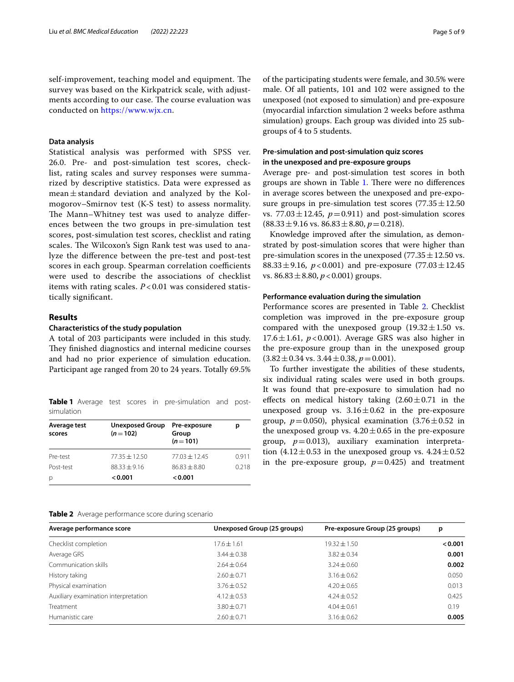self-improvement, teaching model and equipment. The survey was based on the Kirkpatrick scale, with adjustments according to our case. The course evaluation was conducted on <https://www.wjx.cn>.

#### **Data analysis**

Statistical analysis was performed with SPSS ver. 26.0. Pre- and post-simulation test scores, checklist, rating scales and survey responses were summarized by descriptive statistics. Data were expressed as mean $\pm$ standard deviation and analyzed by the Kolmogorov–Smirnov test (K-S test) to assess normality. The Mann–Whitney test was used to analyze differences between the two groups in pre-simulation test scores, post-simulation test scores, checklist and rating scales. The Wilcoxon's Sign Rank test was used to analyze the diference between the pre-test and post-test scores in each group. Spearman correlation coefficients were used to describe the associations of checklist items with rating scales. *P* < 0.01 was considered statistically signifcant.

#### **Results**

#### **Characteristics of the study population**

A total of 203 participants were included in this study. They finished diagnostics and internal medicine courses and had no prior experience of simulation education. Participant age ranged from 20 to 24 years. Totally 69.5%

<span id="page-4-0"></span>**Table 1** Average test scores in pre-simulation and postsimulation

| Average test<br>scores | <b>Unexposed Group</b><br>$(n=102)$ | Pre-exposure<br>Group<br>$(n=101)$ | р     |
|------------------------|-------------------------------------|------------------------------------|-------|
| Pre-test               | $77.35 + 12.50$                     | $77.03 \pm 12.45$                  | 0.911 |
| Post-test              | $88.33 + 9.16$                      | $86.83 + 8.80$                     | 0.218 |
| p                      | 0.001                               | 0.001                              |       |

of the participating students were female, and 30.5% were male. Of all patients, 101 and 102 were assigned to the unexposed (not exposed to simulation) and pre-exposure (myocardial infarction simulation 2 weeks before asthma simulation) groups. Each group was divided into 25 subgroups of 4 to 5 students.

#### **Pre‑simulation and post‑simulation quiz scores in the unexposed and pre‑exposure groups**

Average pre- and post-simulation test scores in both groups are shown in Table [1.](#page-4-0) There were no differences in average scores between the unexposed and pre-exposure groups in pre-simulation test scores  $(77.35 \pm 12.50)$ vs. 77.03 $\pm$ 12.45,  $p$ =0.911) and post-simulation scores  $(88.33 \pm 9.16 \text{ vs. } 86.83 \pm 8.80, p=0.218).$ 

Knowledge improved after the simulation, as demonstrated by post-simulation scores that were higher than pre-simulation scores in the unexposed (77.35 $\pm$ 12.50 vs. 88.33±9.16, *p*<0.001) and pre-exposure (77.03±12.45 vs.  $86.83 \pm 8.80$ ,  $p < 0.001$ ) groups.

#### **Performance evaluation during the simulation**

Performance scores are presented in Table [2](#page-4-1). Checklist completion was improved in the pre-exposure group compared with the unexposed group  $(19.32 \pm 1.50 \text{ vs.})$  $17.6 \pm 1.61$ ,  $p < 0.001$ ). Average GRS was also higher in the pre-exposure group than in the unexposed group  $(3.82 \pm 0.34 \text{ vs. } 3.44 \pm 0.38, p = 0.001).$ 

To further investigate the abilities of these students, six individual rating scales were used in both groups. It was found that pre-exposure to simulation had no effects on medical history taking  $(2.60 \pm 0.71)$  in the unexposed group vs.  $3.16 \pm 0.62$  in the pre-exposure group,  $p=0.050$ ), physical examination  $(3.76\pm0.52)$  in the unexposed group vs.  $4.20 \pm 0.65$  in the pre-exposure group,  $p=0.013$ ), auxiliary examination interpretation  $(4.12 \pm 0.53$  in the unexposed group vs.  $4.24 \pm 0.52$ in the pre-exposure group,  $p=0.425$ ) and treatment

<span id="page-4-1"></span>

| Unexposed Group (25 groups) | Pre-exposure Group (25 groups) | p       |  |
|-----------------------------|--------------------------------|---------|--|
| $17.6 \pm 1.61$             | $19.32 \pm 1.50$               | < 0.001 |  |
| $3.44 \pm 0.38$             | $3.82 + 0.34$                  | 0.001   |  |
| $2.64 + 0.64$               | $3.24 \pm 0.60$                | 0.002   |  |
| $2.60 + 0.71$               | $3.16 \pm 0.62$                | 0.050   |  |
| $3.76 + 0.52$               | $4.20 \pm 0.65$                | 0.013   |  |
| $4.12 \pm 0.53$             | $4.24 \pm 0.52$                | 0.425   |  |
| $3.80 \pm 0.71$             | $4.04 \pm 0.61$                | 0.19    |  |
| $2.60 + 0.71$               | $3.16 \pm 0.62$                | 0.005   |  |
|                             |                                |         |  |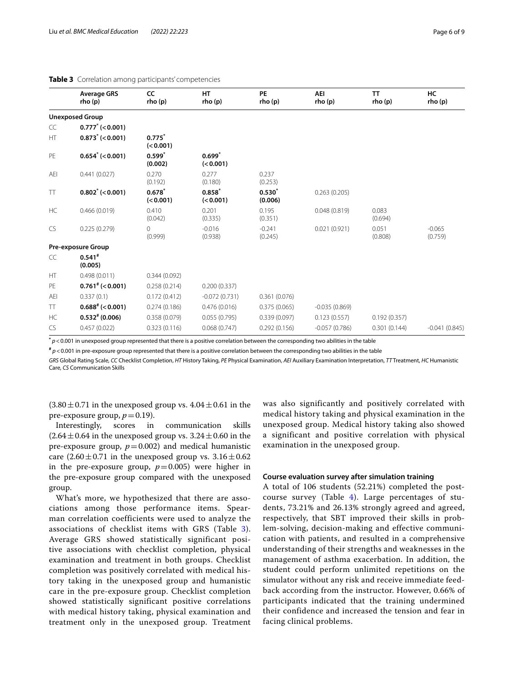#### <span id="page-5-0"></span>**Table 3** Correlation among participants' competencies

|           | <b>Average GRS</b><br>rho(p) | CC<br>rho (p)            | <b>HT</b><br>rho (p)  | PE<br>rho (p)       | <b>AEI</b><br>rho (p) | <b>TT</b><br>rho(p) | HC<br>rho (p)       |
|-----------|------------------------------|--------------------------|-----------------------|---------------------|-----------------------|---------------------|---------------------|
|           | <b>Unexposed Group</b>       |                          |                       |                     |                       |                     |                     |
| CC        | $0.777^*$ (<0.001)           |                          |                       |                     |                       |                     |                     |
| HT        | $0.873^* (< 0.001)$          | $0.775^{*}$<br>(< 0.001) |                       |                     |                       |                     |                     |
| PE        | $0.654^* (< 0.001)$          | $0.599*$<br>(0.002)      | $0.699*$<br>(< 0.001) |                     |                       |                     |                     |
| AEI       | 0.441(0.027)                 | 0.270<br>(0.192)         | 0.277<br>(0.180)      | 0.237<br>(0.253)    |                       |                     |                     |
| TT        | $0.802^* (< 0.001)$          | $0.678^{*}$<br>(< 0.001) | $0.858*$<br>(< 0.001) | $0.530*$<br>(0.006) | 0.263(0.205)          |                     |                     |
| HC        | 0.466(0.019)                 | 0.410<br>(0.042)         | 0.201<br>(0.335)      | 0.195<br>(0.351)    | 0.048(0.819)          | 0.083<br>(0.694)    |                     |
| CS        | 0.225(0.279)                 | 0<br>(0.999)             | $-0.016$<br>(0.938)   | $-0.241$<br>(0.245) | 0.021(0.921)          | 0.051<br>(0.808)    | $-0.065$<br>(0.759) |
|           | <b>Pre-exposure Group</b>    |                          |                       |                     |                       |                     |                     |
| CC        | $0.541*$<br>(0.005)          |                          |                       |                     |                       |                     |                     |
| HT        | 0.498(0.011)                 | 0.344(0.092)             |                       |                     |                       |                     |                     |
| PE        | $0.761^{*}$ (< 0.001)        | 0.258(0.214)             | 0.200(0.337)          |                     |                       |                     |                     |
| AEI       | 0.337(0.1)                   | 0.172(0.412)             | $-0.072(0.731)$       | 0.361(0.076)        |                       |                     |                     |
| TT        | $0.688^{*}$ (< 0.001)        | 0.274(0.186)             | 0.476(0.016)          | 0.375(0.065)        | $-0.035(0.869)$       |                     |                     |
| <b>HC</b> | $0.532^{*}(0.006)$           | 0.358(0.079)             | 0.055(0.795)          | 0.339(0.097)        | 0.123(0.557)          | 0.192(0.357)        |                     |
| CS.       | 0.457(0.022)                 | 0.323(0.116)             | 0.068(0.747)          | 0.292(0.156)        | $-0.057(0.786)$       | 0.301(0.144)        | $-0.041(0.845)$     |

**\*** *p*<0.001 in unexposed group represented that there is a positive correlation between the corresponding two abilities in the table

**#** *p*<0.001 in pre-exposure group represented that there is a positive correlation between the corresponding two abilities in the table

*GRS* Global Rating Scale, *CC* Checklist Completion, *HT* History Taking, *PE* Physical Examination, *AEI* Auxiliary Examination Interpretation, *TT* Treatment, *HC* Humanistic Care, *CS* Communication Skills

 $(3.80 \pm 0.71)$  in the unexposed group vs.  $4.04 \pm 0.61$  in the pre-exposure group,  $p=0.19$ ).<br>Interestingly, scores in

communication skills  $(2.64 \pm 0.64$  in the unexposed group vs.  $3.24 \pm 0.60$  in the pre-exposure group,  $p=0.002$ ) and medical humanistic care  $(2.60 \pm 0.71)$  in the unexposed group vs.  $3.16 \pm 0.62$ in the pre-exposure group,  $p=0.005$ ) were higher in the pre-exposure group compared with the unexposed group.

What's more, we hypothesized that there are associations among those performance items. Spearman correlation coefficients were used to analyze the associations of checklist items with GRS (Table [3\)](#page-5-0). Average GRS showed statistically significant positive associations with checklist completion, physical examination and treatment in both groups. Checklist completion was positively correlated with medical history taking in the unexposed group and humanistic care in the pre-exposure group. Checklist completion showed statistically significant positive correlations with medical history taking, physical examination and treatment only in the unexposed group. Treatment

was also significantly and positively correlated with medical history taking and physical examination in the unexposed group. Medical history taking also showed a significant and positive correlation with physical examination in the unexposed group.

#### **Course evaluation survey after simulation training**

A total of 106 students (52.21%) completed the postcourse survey (Table [4](#page-6-0)). Large percentages of students, 73.21% and 26.13% strongly agreed and agreed, respectively, that SBT improved their skills in problem-solving, decision-making and effective communication with patients, and resulted in a comprehensive understanding of their strengths and weaknesses in the management of asthma exacerbation. In addition, the student could perform unlimited repetitions on the simulator without any risk and receive immediate feedback according from the instructor. However, 0.66% of participants indicated that the training undermined their confidence and increased the tension and fear in facing clinical problems.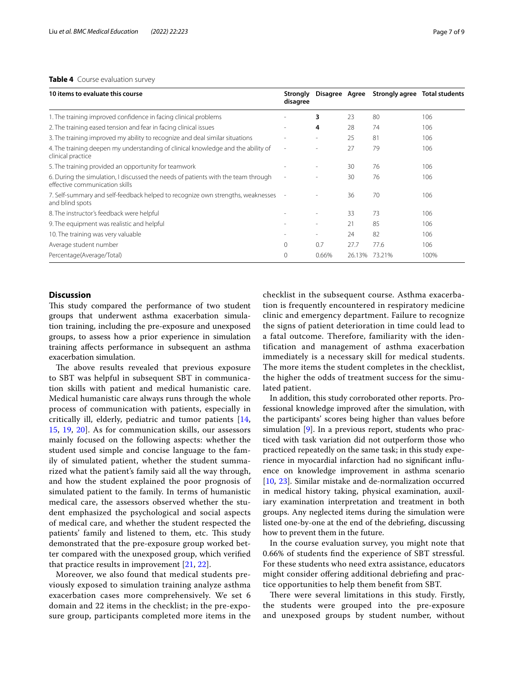#### <span id="page-6-0"></span>**Table 4** Course evaluation survey

| 10 items to evaluate this course                                                                                    | Strongly<br>disagree         | Disagree Agree           |        | Strongly agree Total students |      |
|---------------------------------------------------------------------------------------------------------------------|------------------------------|--------------------------|--------|-------------------------------|------|
| 1. The training improved confidence in facing clinical problems                                                     |                              | 3                        | 23     | 80                            | 106  |
| 2. The training eased tension and fear in facing clinical issues                                                    | $\qquad \qquad \blacksquare$ | 4                        | 28     | 74                            | 106  |
| 3. The training improved my ability to recognize and deal similar situations                                        |                              |                          | 25     | 81                            | 106  |
| 4. The training deepen my understanding of clinical knowledge and the ability of<br>clinical practice               | $\overline{a}$               | $\sim$                   | 27     | 79                            | 106  |
| 5. The training provided an opportunity for teamwork                                                                |                              |                          | 30     | 76                            | 106  |
| 6. During the simulation, I discussed the needs of patients with the team through<br>effective communication skills | $\overline{a}$               |                          | 30     | 76                            | 106  |
| 7. Self-summary and self-feedback helped to recognize own strengths, weaknesses<br>and blind spots                  | $\overline{\phantom{a}}$     |                          | 36     | 70                            | 106  |
| 8. The instructor's feedback were helpful                                                                           |                              | $\overline{\phantom{a}}$ | 33     | 73                            | 106  |
| 9. The equipment was realistic and helpful                                                                          | ٠                            | $\overline{\phantom{a}}$ | 21     | 85                            | 106  |
| 10. The training was very valuable                                                                                  | $\overline{a}$               | $\overline{\phantom{a}}$ | 24     | 82                            | 106  |
| Average student number                                                                                              | $\mathbf 0$                  | 0.7                      | 27.7   | 77.6                          | 106  |
| Percentage(Average/Total)                                                                                           | $\Omega$                     | 0.66%                    | 26.13% | 73.21%                        | 100% |

#### **Discussion**

This study compared the performance of two student groups that underwent asthma exacerbation simulation training, including the pre-exposure and unexposed groups, to assess how a prior experience in simulation training afects performance in subsequent an asthma exacerbation simulation.

The above results revealed that previous exposure to SBT was helpful in subsequent SBT in communication skills with patient and medical humanistic care. Medical humanistic care always runs through the whole process of communication with patients, especially in critically ill, elderly, pediatric and tumor patients [\[14](#page-7-15), [15,](#page-7-16) [19,](#page-8-1) [20\]](#page-8-2). As for communication skills, our assessors mainly focused on the following aspects: whether the student used simple and concise language to the family of simulated patient, whether the student summarized what the patient's family said all the way through, and how the student explained the poor prognosis of simulated patient to the family. In terms of humanistic medical care, the assessors observed whether the student emphasized the psychological and social aspects of medical care, and whether the student respected the patients' family and listened to them, etc. This study demonstrated that the pre-exposure group worked better compared with the unexposed group, which verifed that practice results in improvement [\[21](#page-8-3), [22](#page-8-4)].

Moreover, we also found that medical students previously exposed to simulation training analyze asthma exacerbation cases more comprehensively. We set 6 domain and 22 items in the checklist; in the pre-exposure group, participants completed more items in the checklist in the subsequent course. Asthma exacerbation is frequently encountered in respiratory medicine clinic and emergency department. Failure to recognize the signs of patient deterioration in time could lead to a fatal outcome. Therefore, familiarity with the identification and management of asthma exacerbation immediately is a necessary skill for medical students. The more items the student completes in the checklist, the higher the odds of treatment success for the simulated patient.

In addition, this study corroborated other reports. Professional knowledge improved after the simulation, with the participants' scores being higher than values before simulation [[9\]](#page-7-8). In a previous report, students who practiced with task variation did not outperform those who practiced repeatedly on the same task; in this study experience in myocardial infarction had no signifcant infuence on knowledge improvement in asthma scenario [[10,](#page-7-9) [23](#page-8-5)]. Similar mistake and de-normalization occurred in medical history taking, physical examination, auxiliary examination interpretation and treatment in both groups. Any neglected items during the simulation were listed one-by-one at the end of the debriefng, discussing how to prevent them in the future.

In the course evaluation survey, you might note that 0.66% of students fnd the experience of SBT stressful. For these students who need extra assistance, educators might consider ofering additional debriefng and practice opportunities to help them beneft from SBT.

There were several limitations in this study. Firstly, the students were grouped into the pre-exposure and unexposed groups by student number, without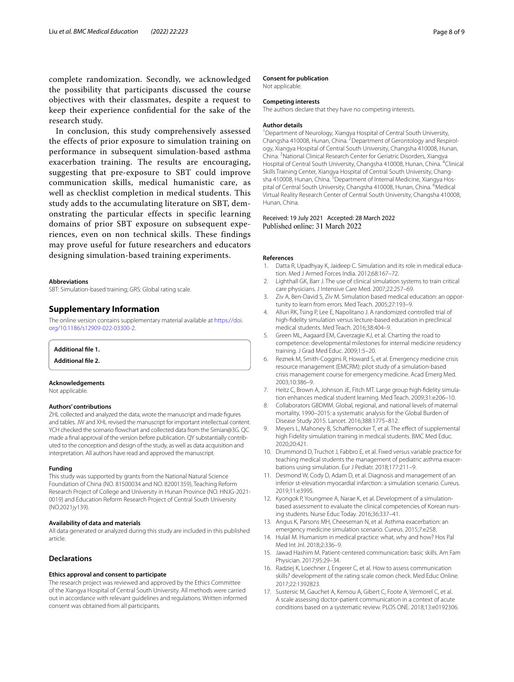complete randomization. Secondly, we acknowledged the possibility that participants discussed the course objectives with their classmates, despite a request to keep their experience confdential for the sake of the research study.

In conclusion, this study comprehensively assessed the effects of prior exposure to simulation training on performance in subsequent simulation-based asthma exacerbation training. The results are encouraging, suggesting that pre-exposure to SBT could improve communication skills, medical humanistic care, as well as checklist completion in medical students. This study adds to the accumulating literature on SBT, demonstrating the particular effects in specific learning domains of prior SBT exposure on subsequent experiences, even on non technical skills. These findings may prove useful for future researchers and educators designing simulation-based training experiments.

#### **Abbreviations**

SBT: Simulation-based training; GRS: Global rating scale.

#### **Supplementary Information**

The online version contains supplementary material available at [https://doi.](https://doi.org/10.1186/s12909-022-03300-2) [org/10.1186/s12909-022-03300-2](https://doi.org/10.1186/s12909-022-03300-2).

<span id="page-7-14"></span><span id="page-7-11"></span>**Additional fle 1.**

**Additional fle 2.**

#### **Acknowledgements**

Not applicable.

#### **Authors' contributions**

ZHL collected and analyzed the data, wrote the manuscript and made fgures and tables. JW and XHL revised the manuscript for important intellectual content. YCH checked the scenario flowchart and collected data from the Simian@3G. QC made a fnal approval of the version before publication. QY substantially contributed to the conception and design of the study, as well as data acquisition and interpretation. All authors have read and approved the manuscript.

#### **Funding**

This study was supported by grants from the National Natural Science Foundation of China (NO. 81500034 and NO. 82001359), Teaching Reform Research Project of College and University in Hunan Province (NO. HNJG-2021- 0019) and Education Reform Research Project of Central South University (NO.2021jy139).

#### **Availability of data and materials**

All data generated or analyzed during this study are included in this published article.

#### **Declarations**

#### **Ethics approval and consent to participate**

The research project was reviewed and approved by the Ethics Committee of the Xiangya Hospital of Central South University. All methods were carried out in accordance with relevant guidelines and regulations. Written informed consent was obtained from all participants.

#### **Consent for publication**

Not applicable.

#### **Competing interests**

The authors declare that they have no competing interests.

#### **Author details**

<sup>1</sup> Department of Neurology, Xiangya Hospital of Central South University, Changsha 410008, Hunan, China. <sup>2</sup> Department of Gerontology and Respirology, Xiangya Hospital of Central South University, Changsha 410008, Hunan, China. <sup>3</sup> National Clinical Research Center for Geriatric Disorders, Xiangya Hospital of Central South University, Changsha 410008, Hunan, China. <sup>4</sup>Clinical Skills Training Center, Xiangya Hospital of Central South University, Changsha 410008, Hunan, China. <sup>5</sup> Department of Internal Medicine, Xiangya Hospital of Central South University, Changsha 410008, Hunan, China. <sup>6</sup>Medical Virtual Reality Research Center of Central South University, Changsha 410008, Hunan, China.

# Received: 19 July 2021 Accepted: 28 March 2022<br>Published online: 31 March 2022

#### **References**

- <span id="page-7-0"></span>1. Datta R, Upadhyay K, Jaideep C. Simulation and its role in medical education. Med J Armed Forces India. 2012;68:167–72.
- <span id="page-7-1"></span>2. Lighthall GK, Barr J. The use of clinical simulation systems to train critical care physicians. J Intensive Care Med. 2007;22:257–69.
- <span id="page-7-2"></span>3. Ziv A, Ben-David S, Ziv M. Simulation based medical education: an opportunity to learn from errors. Med Teach. 2005;27:193–9.
- <span id="page-7-3"></span>4. Alluri RK, Tsing P, Lee E, Napolitano J. A randomized controlled trial of high-fdelity simulation versus lecture-based education in preclinical medical students. Med Teach. 2016;38:404–9.
- <span id="page-7-4"></span>5. Green ML, Aagaard EM, Caverzagie KJ, et al. Charting the road to competence: developmental milestones for internal medicine residency training. J Grad Med Educ. 2009;1:5–20.
- <span id="page-7-5"></span>6. Reznek M, Smith-Coggins R, Howard S, et al. Emergency medicine crisis resource management (EMCRM): pilot study of a simulation-based crisis management course for emergency medicine. Acad Emerg Med. 2003;10:386–9.
- <span id="page-7-6"></span>7. Heitz C, Brown A, Johnson JE, Fitch MT. Large group high-fdelity simulation enhances medical student learning. Med Teach. 2009;31:e206–10.
- <span id="page-7-7"></span>8. Collaborators GBDMM. Global, regional, and national levels of maternal mortality, 1990–2015: a systematic analysis for the Global Burden of Disease Study 2015. Lancet. 2016;388:1775–812.
- <span id="page-7-8"></span>9. Meyers L, Mahoney B, Schaffernocker T, et al. The effect of supplemental high Fidelity simulation training in medical students. BMC Med Educ. 2020;20:421.
- <span id="page-7-9"></span>10. Drummond D, Truchot J, Fabbro E, et al. Fixed versus variable practice for teaching medical students the management of pediatric asthma exacerbations using simulation. Eur J Pediatr. 2018;177:211–9.
- <span id="page-7-10"></span>11. Desmond W, Cody D, Adam D, et al. Diagnosis and management of an inferior st-elevation myocardial infarction: a simulation scenario. Cureus. 2019;11:e3995.
- <span id="page-7-12"></span>12. Kyongok P, Youngmee A, Narae K, et al. Development of a simulationbased assessment to evaluate the clinical competencies of Korean nursing students. Nurse Educ Today. 2016;36:337–41.
- <span id="page-7-13"></span>13. Angus K, Parsons MH, Cheeseman N, et al. Asthma exacerbation: an emergency medicine simulation scenario. Cureus. 2015;7:e258.
- <span id="page-7-15"></span>14. Hulail M. Humanism in medical practice: what, why and how? Hos Pal Med Int Jnl. 2018;2:336–9.
- <span id="page-7-16"></span>15. Jawad Hashim M. Patient-centered communication: basic skills. Am Fam Physician. 2017;95:29–34.
- <span id="page-7-17"></span>16. Radziej K, Loechner J, Engerer C, et al. How to assess communication skills? development of the rating scale comon check. Med Educ Online. 2017;22:1392823.
- <span id="page-7-18"></span>17. Sustersic M, Gauchet A, Kernou A, Gibert C, Foote A, Vermorel C, et al. A scale assessing doctor-patient communication in a context of acute conditions based on a systematic review. PLOS ONE. 2018;13:e0192306.